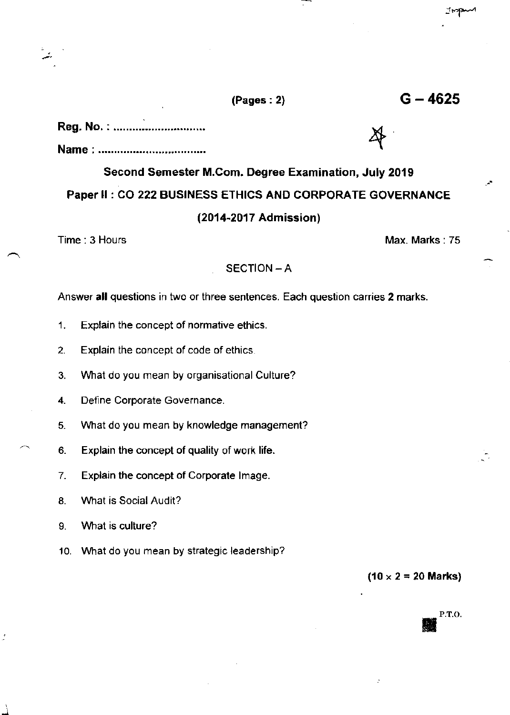## $(Pages: 2)$  G  $- 4625$

## Reg. No.: ..............................

Name : 4

# Second Semester M.Com. Degree Examination, July 2019 Paper ll : CO 222 BUSINESS ETHICS AND CORPORATE GOVERNANCE (2014-2017 Admission)

Time : 3 Hours Max. Marks : 75

#### SECTION - A

Answer all questions in two or three sentences. Each question carries 2 marks.

- 1. Explain the concept of normative ethics.
- 2. Exolain the concept of code of ethics
- 3. Vvhat do you mean by organisational Culture?
- 4. Define Corporate Governance.
- 5. What do you mean by knowledge management?
- 6. Explain the concept of quality of work life.
- 7. Explain the concept of Corporate lmage.
- 8. What is Social Audit?
- 9. Vvhat is culture?
- 10. What do you mean by strategic leadership?

 $(10 \times 2 = 20$  Marks)

P,T.O.